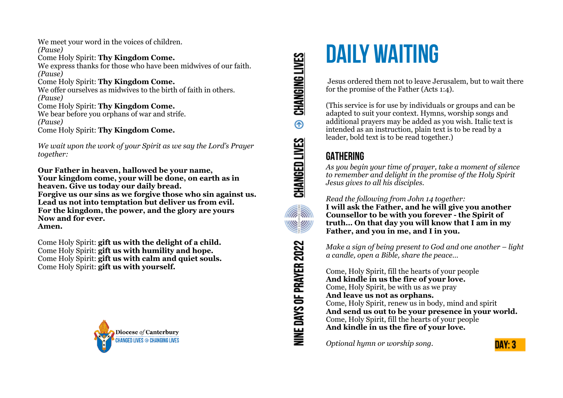We meet your word in the voices of children. *(Pause)* Come Holy Spirit: **Thy Kingdom Come.** We express thanks for those who have been midwives of our faith. *(Pause)* Come Holy Spirit: **Thy Kingdom Come.** We offer ourselves as midwives to the birth of faith in others. *(Pause)* Come Holy Spirit: **Thy Kingdom Come.** We bear before you orphans of war and strife. *(Pause)* Come Holy Spirit: **Thy Kingdom Come.**

*We wait upon the work of your Spirit as we say the Lord's Prayer together:*

**Our Father in heaven, hallowed be your name, Your kingdom come, your will be done, on earth as in heaven. Give us today our daily bread. Forgive us our sins as we forgive those who sin against us. Lead us not into temptation but deliver us from evil. For the kingdom, the power, and the glory are yours Now and for ever. Amen.**

Come Holy Spirit: **gift us with the delight of a child.** Come Holy Spirit: **gift us with humility and hope.** Come Holy Spirit: **gift us with calm and quiet souls.** Come Holy Spirit: **gift us with yourself.**



CHANGING LIVES  $^{\circ}$ CHANGED LIVES **ARA** NINE DAYS OF PRAYER 2022

# **DAILY WAITING**

 Jesus ordered them not to leave Jerusalem, but to wait there for the promise of the Father (Acts 1:4).

(This service is for use by individuals or groups and can be adapted to suit your context. Hymns, worship songs and additional prayers may be added as you wish. Italic text is intended as an instruction, plain text is to be read by a leader, bold text is to be read together.)

# **GATHERING**

*As you begin your time of prayer, take a moment of silence to remember and delight in the promise of the Holy Spirit Jesus gives to all his disciples.*

*Read the following from John 14 together:* 

**I will ask the Father, and he will give you another Counsellor to be with you forever - the Spirit of truth… On that day you will know that I am in my Father, and you in me, and I in you.** 

*Make a sign of being present to God and one another – light a candle, open a Bible, share the peace…* 

Come, Holy Spirit, fill the hearts of your people **And kindle in us the fire of your love.**  Come, Holy Spirit, be with us as we pray **And leave us not as orphans.**  Come, Holy Spirit, renew us in body, mind and spirit **And send us out to be your presence in your world.**  Come, Holy Spirit, fill the hearts of your people **And kindle in us the fire of your love.** 

*Optional hymn or worship song.*